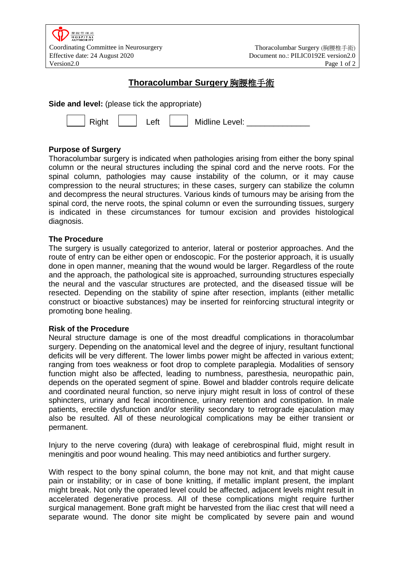

# **Thoracolumbar Surgery** 胸腰椎手術

**Side and level:** (please tick the appropriate)

|  |  |  | Midline Level: |  |
|--|--|--|----------------|--|
|--|--|--|----------------|--|

# **Purpose of Surgery**

Thoracolumbar surgery is indicated when pathologies arising from either the bony spinal column or the neural structures including the spinal cord and the nerve roots. For the spinal column, pathologies may cause instability of the column, or it may cause compression to the neural structures; in these cases, surgery can stabilize the column and decompress the neural structures. Various kinds of tumours may be arising from the spinal cord, the nerve roots, the spinal column or even the surrounding tissues, surgery is indicated in these circumstances for tumour excision and provides histological diagnosis.

# **The Procedure**

The surgery is usually categorized to anterior, lateral or posterior approaches. And the route of entry can be either open or endoscopic. For the posterior approach, it is usually done in open manner, meaning that the wound would be larger. Regardless of the route and the approach, the pathological site is approached, surrounding structures especially the neural and the vascular structures are protected, and the diseased tissue will be resected. Depending on the stability of spine after resection, implants (either metallic construct or bioactive substances) may be inserted for reinforcing structural integrity or promoting bone healing.

# **Risk of the Procedure**

Neural structure damage is one of the most dreadful complications in thoracolumbar surgery. Depending on the anatomical level and the degree of injury, resultant functional deficits will be very different. The lower limbs power might be affected in various extent; ranging from toes weakness or foot drop to complete paraplegia. Modalities of sensory function might also be affected, leading to numbness, paresthesia, neuropathic pain, depends on the operated segment of spine. Bowel and bladder controls require delicate and coordinated neural function, so nerve injury might result in loss of control of these sphincters, urinary and fecal incontinence, urinary retention and constipation. In male patients, erectile dysfunction and/or sterility secondary to retrograde ejaculation may also be resulted. All of these neurological complications may be either transient or permanent.

Injury to the nerve covering (dura) with leakage of cerebrospinal fluid, might result in meningitis and poor wound healing. This may need antibiotics and further surgery.

With respect to the bony spinal column, the bone may not knit, and that might cause pain or instability; or in case of bone knitting, if metallic implant present, the implant might break. Not only the operated level could be affected, adjacent levels might result in accelerated degenerative process. All of these complications might require further surgical management. Bone graft might be harvested from the iliac crest that will need a separate wound. The donor site might be complicated by severe pain and wound